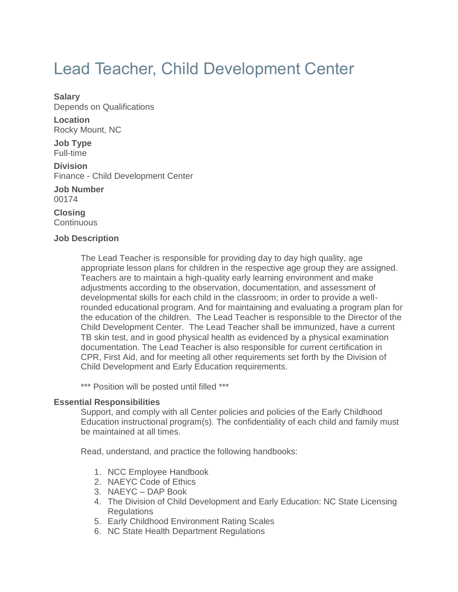# Lead Teacher, Child Development Center

#### **Salary**

Depends on Qualifications

**Location** Rocky Mount, NC

**Job Type** Full-time

**Division** Finance - Child Development Center

**Job Number** 00174

**Closing Continuous** 

### **Job Description**

The Lead Teacher is responsible for providing day to day high quality, age appropriate lesson plans for children in the respective age group they are assigned. Teachers are to maintain a high-quality early learning environment and make adjustments according to the observation, documentation, and assessment of developmental skills for each child in the classroom; in order to provide a wellrounded educational program. And for maintaining and evaluating a program plan for the education of the children. The Lead Teacher is responsible to the Director of the Child Development Center. The Lead Teacher shall be immunized, have a current TB skin test, and in good physical health as evidenced by a physical examination documentation. The Lead Teacher is also responsible for current certification in CPR, First Aid, and for meeting all other requirements set forth by the Division of Child Development and Early Education requirements.

\*\*\* Position will be posted until filled \*\*\*

### **Essential Responsibilities**

Support, and comply with all Center policies and policies of the Early Childhood Education instructional program(s). The confidentiality of each child and family must be maintained at all times.

Read, understand, and practice the following handbooks:

- 1. NCC Employee Handbook
- 2. NAEYC Code of Ethics
- 3. NAEYC DAP Book
- 4. The Division of Child Development and Early Education: NC State Licensing Regulations
- 5. Early Childhood Environment Rating Scales
- 6. NC State Health Department Regulations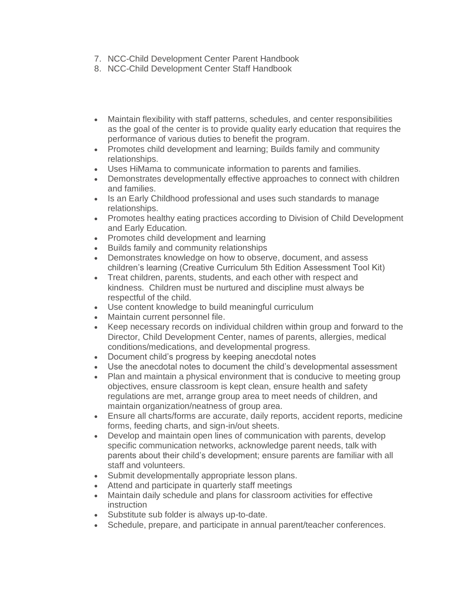- 7. NCC-Child Development Center Parent Handbook
- 8. NCC-Child Development Center Staff Handbook
- Maintain flexibility with staff patterns, schedules, and center responsibilities as the goal of the center is to provide quality early education that requires the performance of various duties to benefit the program.
- Promotes child development and learning; Builds family and community relationships.
- Uses HiMama to communicate information to parents and families.
- Demonstrates developmentally effective approaches to connect with children and families.
- Is an Early Childhood professional and uses such standards to manage relationships.
- Promotes healthy eating practices according to Division of Child Development and Early Education.
- Promotes child development and learning
- Builds family and community relationships
- Demonstrates knowledge on how to observe, document, and assess children's learning (Creative Curriculum 5th Edition Assessment Tool Kit)
- Treat children, parents, students, and each other with respect and kindness. Children must be nurtured and discipline must always be respectful of the child.
- Use content knowledge to build meaningful curriculum
- Maintain current personnel file.
- Keep necessary records on individual children within group and forward to the Director, Child Development Center, names of parents, allergies, medical conditions/medications, and developmental progress.
- Document child's progress by keeping anecdotal notes
- Use the anecdotal notes to document the child's developmental assessment
- Plan and maintain a physical environment that is conducive to meeting group objectives, ensure classroom is kept clean, ensure health and safety regulations are met, arrange group area to meet needs of children, and maintain organization/neatness of group area.
- Ensure all charts/forms are accurate, daily reports, accident reports, medicine forms, feeding charts, and sign-in/out sheets.
- Develop and maintain open lines of communication with parents, develop specific communication networks, acknowledge parent needs, talk with parents about their child's development; ensure parents are familiar with all staff and volunteers.
- Submit developmentally appropriate lesson plans.
- Attend and participate in quarterly staff meetings
- Maintain daily schedule and plans for classroom activities for effective instruction
- Substitute sub folder is always up-to-date.
- Schedule, prepare, and participate in annual parent/teacher conferences.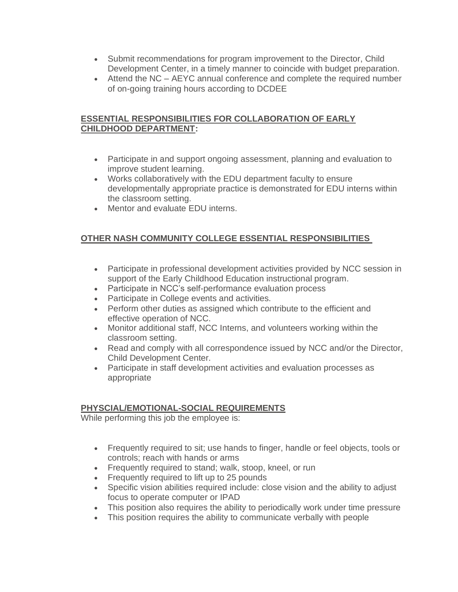- Submit recommendations for program improvement to the Director, Child Development Center, in a timely manner to coincide with budget preparation.
- Attend the NC AEYC annual conference and complete the required number of on-going training hours according to DCDEE

## **ESSENTIAL RESPONSIBILITIES FOR COLLABORATION OF EARLY CHILDHOOD DEPARTMENT:**

- Participate in and support ongoing assessment, planning and evaluation to improve student learning.
- Works collaboratively with the EDU department faculty to ensure developmentally appropriate practice is demonstrated for EDU interns within the classroom setting.
- Mentor and evaluate EDU interns.

## **OTHER NASH COMMUNITY COLLEGE ESSENTIAL RESPONSIBILITIES**

- Participate in professional development activities provided by NCC session in support of the Early Childhood Education instructional program.
- Participate in NCC's self-performance evaluation process
- Participate in College events and activities.
- Perform other duties as assigned which contribute to the efficient and effective operation of NCC.
- Monitor additional staff, NCC Interns, and volunteers working within the classroom setting.
- Read and comply with all correspondence issued by NCC and/or the Director, Child Development Center.
- Participate in staff development activities and evaluation processes as appropriate

## **PHYSCIAL/EMOTIONAL-SOCIAL REQUIREMENTS**

While performing this job the employee is:

- Frequently required to sit; use hands to finger, handle or feel objects, tools or controls; reach with hands or arms
- Frequently required to stand; walk, stoop, kneel, or run
- Frequently required to lift up to 25 pounds
- Specific vision abilities required include: close vision and the ability to adjust focus to operate computer or IPAD
- This position also requires the ability to periodically work under time pressure
- This position requires the ability to communicate verbally with people